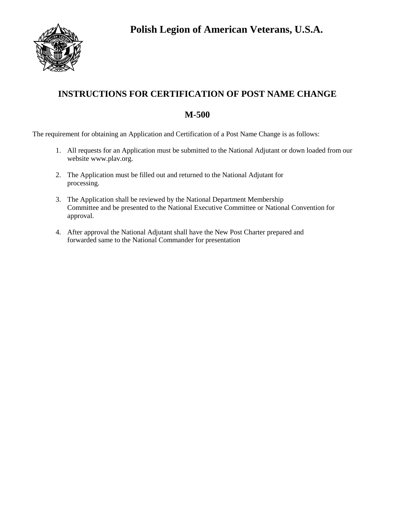

## **INSTRUCTIONS FOR CERTIFICATION OF POST NAME CHANGE**

## **M-500**

The requirement for obtaining an Application and Certification of a Post Name Change is as follows:

- 1. All requests for an Application must be submitted to the National Adjutant or down loaded from our website www.plav.org.
- 2. The Application must be filled out and returned to the National Adjutant for processing.
- 3. The Application shall be reviewed by the National Department Membership Committee and be presented to the National Executive Committee or National Convention for approval.
- 4. After approval the National Adjutant shall have the New Post Charter prepared and forwarded same to the National Commander for presentation